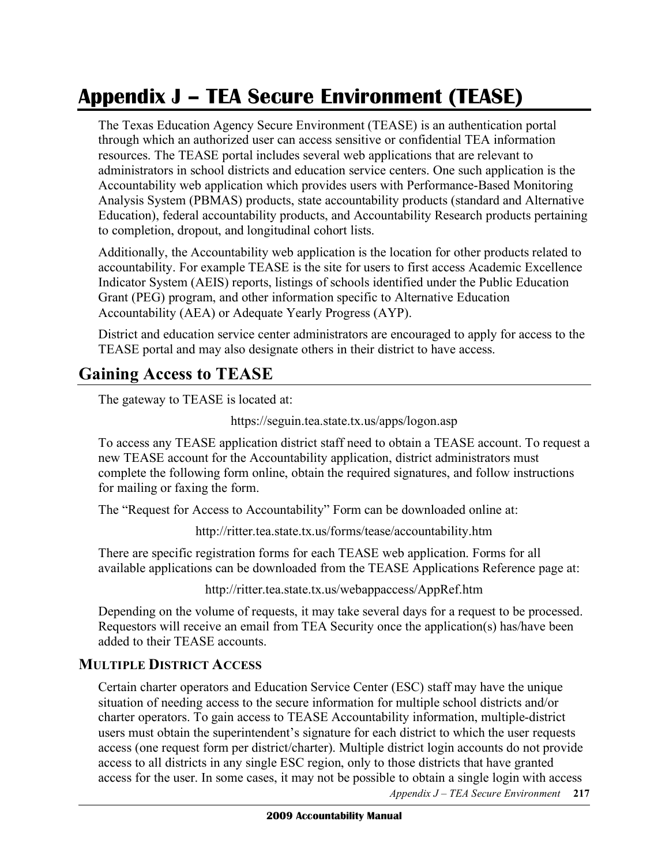# **Appendix J – TEA Secure Environment (TEASE)**

 The Texas Education Agency Secure Environment (TEASE) is an authentication portal through which an authorized user can access sensitive or confidential TEA information resources. The TEASE portal includes several web applications that are relevant to administrators in school districts and education service centers. One such application is the Accountability web application which provides users with Performance-Based Monitoring Analysis System (PBMAS) products, state accountability products (standard and Alternative Education), federal accountability products, and Accountability Research products pertaining to completion, dropout, and longitudinal cohort lists.

 Additionally, the Accountability web application is the location for other products related to accountability. For example TEASE is the site for users to first access Academic Excellence Indicator System (AEIS) reports, listings of schools identified under the Public Education Grant (PEG) program, and other information specific to Alternative Education Accountability (AEA) or Adequate Yearly Progress (AYP).

 District and education service center administrators are encouraged to apply for access to the TEASE portal and may also designate others in their district to have access.

#### **Gaining Access to TEASE**

The gateway to TEASE is located at:

https://seguin.tea.state.tx.us/apps/logon.asp

 To access any TEASE application district staff need to obtain a TEASE account. To request a new TEASE account for the Accountability application, district administrators must complete the following form online, obtain the required signatures, and follow instructions for mailing or faxing the form.

The "Request for Access to Accountability" Form can be downloaded online at:

http://ritter.tea.state.tx.us/forms/tease/accountability.htm

 There are specific registration forms for each TEASE web application. Forms for all available applications can be downloaded from the TEASE Applications Reference page at:

http://ritter.tea.state.tx.us/webappaccess/AppRef.htm

 Depending on the volume of requests, it may take several days for a request to be processed. Requestors will receive an email from TEA Security once the application(s) has/have been added to their TEASE accounts.

#### **MULTIPLE DISTRICT ACCESS**

 Certain charter operators and Education Service Center (ESC) staff may have the unique situation of needing access to the secure information for multiple school districts and/or charter operators. To gain access to TEASE Accountability information, multiple-district users must obtain the superintendent's signature for each district to which the user requests access (one request form per district/charter). Multiple district login accounts do not provide access to all districts in any single ESC region, only to those districts that have granted access for the user. In some cases, it may not be possible to obtain a single login with access